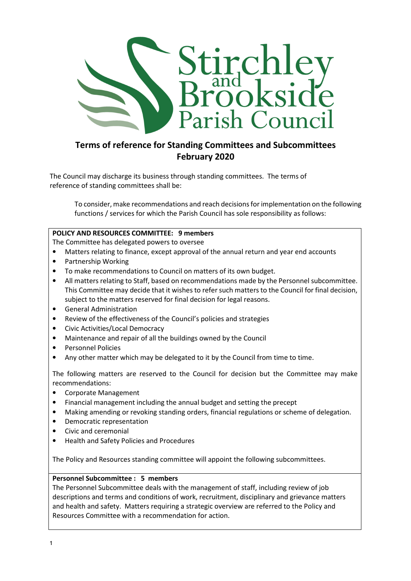

# Terms of reference for Standing Committees and Subcommittees February 2020

The Council may discharge its business through standing committees. The terms of reference of standing committees shall be:

To consider, make recommendations and reach decisions for implementation on the following functions / services for which the Parish Council has sole responsibility as follows:

## POLICY AND RESOURCES COMMITTEE: 9 members

The Committee has delegated powers to oversee

- Matters relating to finance, except approval of the annual return and year end accounts
- Partnership Working
- To make recommendations to Council on matters of its own budget.
- All matters relating to Staff, based on recommendations made by the Personnel subcommittee. This Committee may decide that it wishes to refer such matters to the Council for final decision, subject to the matters reserved for final decision for legal reasons.
- General Administration
- Review of the effectiveness of the Council's policies and strategies
- Civic Activities/Local Democracy
- Maintenance and repair of all the buildings owned by the Council
- Personnel Policies
- Any other matter which may be delegated to it by the Council from time to time.

The following matters are reserved to the Council for decision but the Committee may make recommendations:

- Corporate Management
- Financial management including the annual budget and setting the precept
- Making amending or revoking standing orders, financial regulations or scheme of delegation.
- Democratic representation
- Civic and ceremonial
- Health and Safety Policies and Procedures

The Policy and Resources standing committee will appoint the following subcommittees.

#### Personnel Subcommittee : 5 members

The Personnel Subcommittee deals with the management of staff, including review of job descriptions and terms and conditions of work, recruitment, disciplinary and grievance matters and health and safety. Matters requiring a strategic overview are referred to the Policy and Resources Committee with a recommendation for action.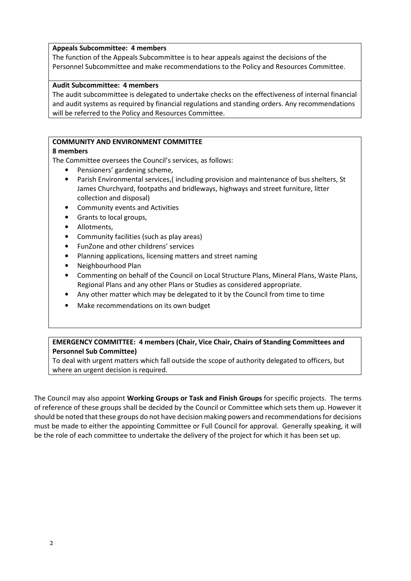#### Appeals Subcommittee: 4 members

The function of the Appeals Subcommittee is to hear appeals against the decisions of the Personnel Subcommittee and make recommendations to the Policy and Resources Committee.

#### Audit Subcommittee: 4 members

The audit subcommittee is delegated to undertake checks on the effectiveness of internal financial and audit systems as required by financial regulations and standing orders. Any recommendations will be referred to the Policy and Resources Committee.

#### COMMUNITY AND ENVIRONMENT COMMITTEE

#### 8 members

The Committee oversees the Council's services, as follows:

- Pensioners' gardening scheme,
- Parish Environmental services,( including provision and maintenance of bus shelters, St James Churchyard, footpaths and bridleways, highways and street furniture, litter collection and disposal)
- Community events and Activities
- Grants to local groups,
- Allotments,
- Community facilities (such as play areas)
- FunZone and other childrens' services
- Planning applications, licensing matters and street naming
- Neighbourhood Plan
- Commenting on behalf of the Council on Local Structure Plans, Mineral Plans, Waste Plans, Regional Plans and any other Plans or Studies as considered appropriate.
- Any other matter which may be delegated to it by the Council from time to time
- Make recommendations on its own budget

### EMERGENCY COMMITTEE: 4 members (Chair, Vice Chair, Chairs of Standing Committees and Personnel Sub Committee)

To deal with urgent matters which fall outside the scope of authority delegated to officers, but where an urgent decision is required.

The Council may also appoint Working Groups or Task and Finish Groups for specific projects. The terms of reference of these groups shall be decided by the Council or Committee which sets them up. However it should be noted that these groups do not have decision making powers and recommendations for decisions must be made to either the appointing Committee or Full Council for approval. Generally speaking, it will be the role of each committee to undertake the delivery of the project for which it has been set up.